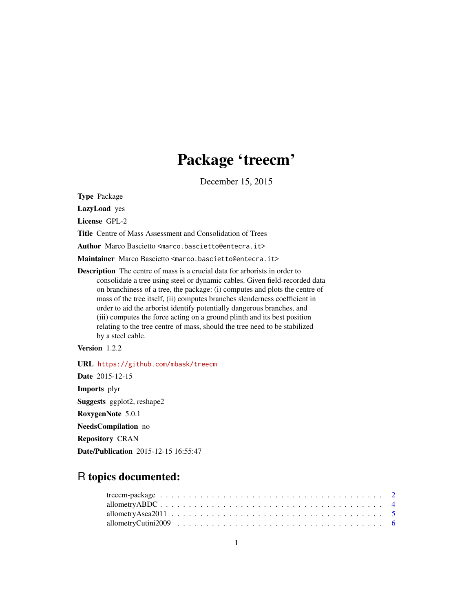# Package 'treecm'

December 15, 2015

Type Package

LazyLoad yes

License GPL-2

Title Centre of Mass Assessment and Consolidation of Trees

Author Marco Bascietto <marco.bascietto@entecra.it>

Maintainer Marco Bascietto <marco.bascietto@entecra.it>

Description The centre of mass is a crucial data for arborists in order to consolidate a tree using steel or dynamic cables. Given field-recorded data on branchiness of a tree, the package: (i) computes and plots the centre of mass of the tree itself, (ii) computes branches slenderness coefficient in order to aid the arborist identify potentially dangerous branches, and (iii) computes the force acting on a ground plinth and its best position relating to the tree centre of mass, should the tree need to be stabilized by a steel cable.

Version 1.2.2

URL <https://github.com/mbask/treecm>

Date 2015-12-15 Imports plyr Suggests ggplot2, reshape2 RoxygenNote 5.0.1 NeedsCompilation no Repository CRAN Date/Publication 2015-12-15 16:55:47

# R topics documented: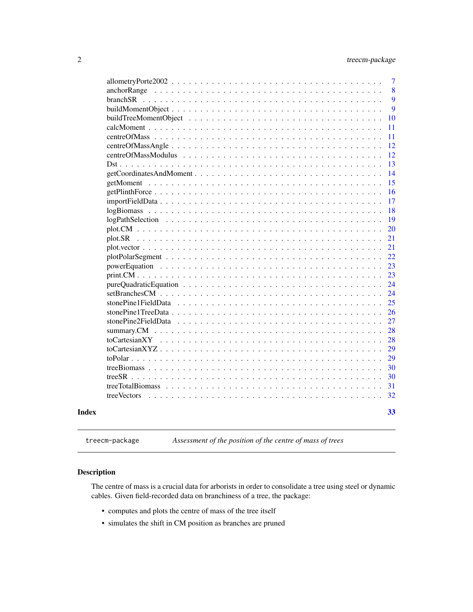<span id="page-1-0"></span>

|       |                    | 7  |
|-------|--------------------|----|
|       |                    | 8  |
|       |                    | 9  |
|       |                    | 9  |
|       |                    | 10 |
|       |                    | 11 |
|       |                    | 11 |
|       |                    | 12 |
|       |                    | 12 |
|       |                    | 13 |
|       |                    | 14 |
|       |                    | 15 |
|       |                    | 16 |
|       |                    | 17 |
|       |                    | 18 |
|       |                    | 19 |
|       |                    | 20 |
|       |                    | 21 |
|       |                    | 21 |
|       |                    | 22 |
|       |                    | 23 |
|       |                    | 23 |
|       |                    | 24 |
|       |                    | 24 |
|       |                    | 25 |
|       |                    | 26 |
|       |                    | 27 |
|       |                    | 28 |
|       |                    | 28 |
|       | to Cartesian $XYZ$ | 29 |
|       |                    | 29 |
|       |                    | 30 |
|       | $\mathrm{treeSR}$  | 30 |
|       |                    | 31 |
|       | tree Vectors       | 32 |
|       |                    |    |
| Index |                    | 33 |
|       |                    |    |

treecm-package *Assessment of the position of the centre of mass of trees*

# Description

The centre of mass is a crucial data for arborists in order to consolidate a tree using steel or dynamic cables. Given field-recorded data on branchiness of a tree, the package:

- computes and plots the centre of mass of the tree itself
- simulates the shift in CM position as branches are pruned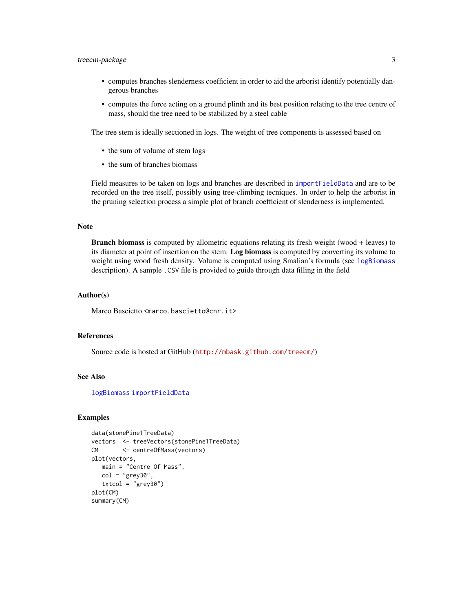# <span id="page-2-0"></span>treecm-package 3

- computes branches slenderness coefficient in order to aid the arborist identify potentially dangerous branches
- computes the force acting on a ground plinth and its best position relating to the tree centre of mass, should the tree need to be stabilized by a steel cable

The tree stem is ideally sectioned in logs. The weight of tree components is assessed based on

- the sum of volume of stem logs
- the sum of branches biomass

Field measures to be taken on logs and branches are described in [importFieldData](#page-16-1) and are to be recorded on the tree itself, possibly using tree-climbing tecniques. In order to help the arborist in the pruning selection process a simple plot of branch coefficient of slenderness is implemented.

#### **Note**

Branch biomass is computed by allometric equations relating its fresh weight (wood + leaves) to its diameter at point of insertion on the stem. Log biomass is computed by converting its volume to weight using wood fresh density. Volume is computed using Smalian's formula (see [logBiomass](#page-17-1) description). A sample .CSV file is provided to guide through data filling in the field

#### Author(s)

Marco Bascietto <marco.bascietto@cnr.it>

#### References

Source code is hosted at GitHub (<http://mbask.github.com/treecm/>)

#### See Also

[logBiomass](#page-17-1) [importFieldData](#page-16-1)

#### Examples

```
data(stonePine1TreeData)
vectors <- treeVectors(stonePine1TreeData)
CM <- centreOfMass(vectors)
plot(vectors,
  main = "Centre Of Mass",
  col = "grey30",txtcol = "grey30")
plot(CM)
summary(CM)
```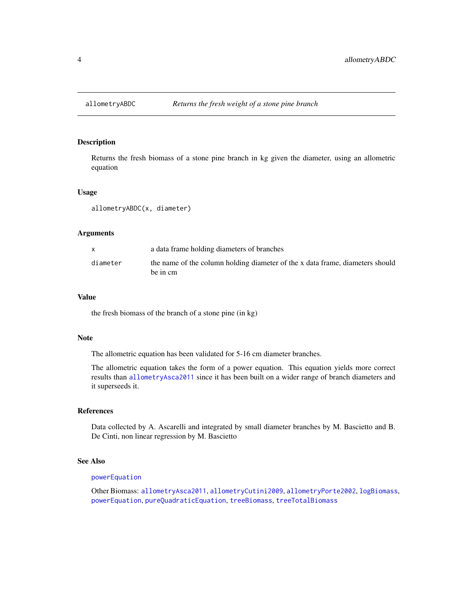<span id="page-3-1"></span><span id="page-3-0"></span>

Returns the fresh biomass of a stone pine branch in kg given the diameter, using an allometric equation

#### Usage

allometryABDC(x, diameter)

#### Arguments

|          | a data frame holding diameters of branches                                                |
|----------|-------------------------------------------------------------------------------------------|
| diameter | the name of the column holding diameter of the x data frame, diameters should<br>be in cm |

#### Value

the fresh biomass of the branch of a stone pine (in kg)

#### Note

The allometric equation has been validated for 5-16 cm diameter branches.

The allometric equation takes the form of a power equation. This equation yields more correct results than [allometryAsca2011](#page-4-1) since it has been built on a wider range of branch diameters and it superseeds it.

#### References

Data collected by A. Ascarelli and integrated by small diameter branches by M. Bascietto and B. De Cinti, non linear regression by M. Bascietto

#### See Also

#### [powerEquation](#page-22-1)

Other Biomass: [allometryAsca2011](#page-4-1), [allometryCutini2009](#page-5-1), [allometryPorte2002](#page-6-1), [logBiomass](#page-17-1), [powerEquation](#page-22-1), [pureQuadraticEquation](#page-23-1), [treeBiomass](#page-29-1), [treeTotalBiomass](#page-30-1)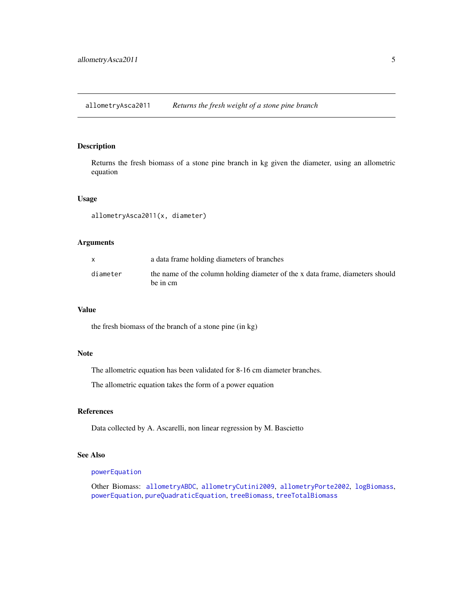<span id="page-4-1"></span><span id="page-4-0"></span>allometryAsca2011 *Returns the fresh weight of a stone pine branch*

#### Description

Returns the fresh biomass of a stone pine branch in kg given the diameter, using an allometric equation

#### Usage

allometryAsca2011(x, diameter)

# Arguments

|          | a data frame holding diameters of branches                                                |
|----------|-------------------------------------------------------------------------------------------|
| diameter | the name of the column holding diameter of the x data frame, diameters should<br>be in cm |

#### Value

the fresh biomass of the branch of a stone pine (in kg)

# Note

The allometric equation has been validated for 8-16 cm diameter branches.

The allometric equation takes the form of a power equation

# References

Data collected by A. Ascarelli, non linear regression by M. Bascietto

# See Also

# [powerEquation](#page-22-1)

Other Biomass: [allometryABDC](#page-3-1), [allometryCutini2009](#page-5-1), [allometryPorte2002](#page-6-1), [logBiomass](#page-17-1), [powerEquation](#page-22-1), [pureQuadraticEquation](#page-23-1), [treeBiomass](#page-29-1), [treeTotalBiomass](#page-30-1)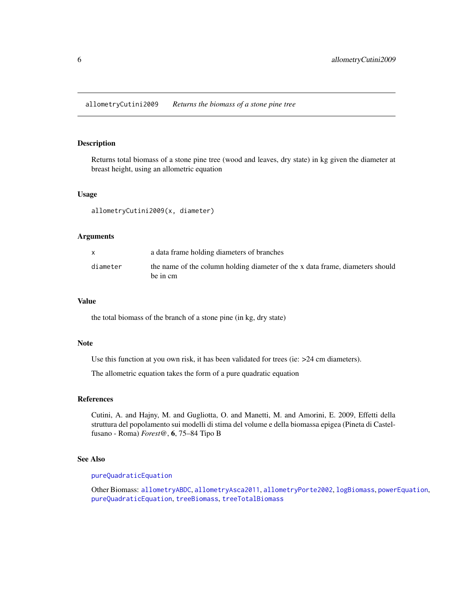<span id="page-5-1"></span><span id="page-5-0"></span>Returns total biomass of a stone pine tree (wood and leaves, dry state) in kg given the diameter at breast height, using an allometric equation

#### Usage

allometryCutini2009(x, diameter)

#### Arguments

|          | a data frame holding diameters of branches                                                |
|----------|-------------------------------------------------------------------------------------------|
| diameter | the name of the column holding diameter of the x data frame, diameters should<br>be in cm |

# Value

the total biomass of the branch of a stone pine (in kg, dry state)

#### **Note**

Use this function at you own risk, it has been validated for trees (ie:  $>24$  cm diameters).

The allometric equation takes the form of a pure quadratic equation

#### References

Cutini, A. and Hajny, M. and Gugliotta, O. and Manetti, M. and Amorini, E. 2009, Effetti della struttura del popolamento sui modelli di stima del volume e della biomassa epigea (Pineta di Castelfusano - Roma) *Forest@*, 6, 75–84 Tipo B

# See Also

# [pureQuadraticEquation](#page-23-1)

Other Biomass: [allometryABDC](#page-3-1), [allometryAsca2011](#page-4-1), [allometryPorte2002](#page-6-1), [logBiomass](#page-17-1), [powerEquation](#page-22-1), [pureQuadraticEquation](#page-23-1), [treeBiomass](#page-29-1), [treeTotalBiomass](#page-30-1)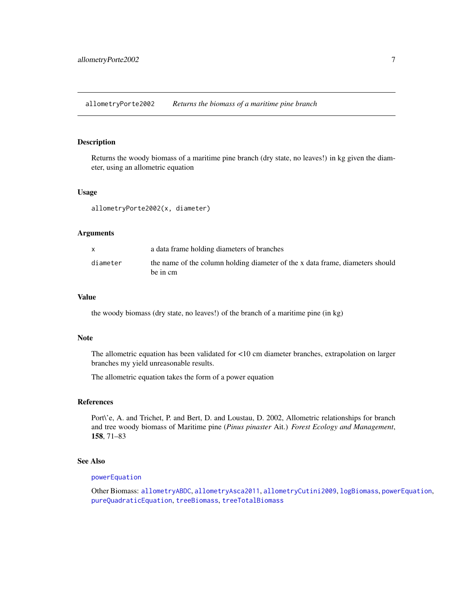<span id="page-6-1"></span><span id="page-6-0"></span>allometryPorte2002 *Returns the biomass of a maritime pine branch*

#### Description

Returns the woody biomass of a maritime pine branch (dry state, no leaves!) in kg given the diameter, using an allometric equation

#### Usage

allometryPorte2002(x, diameter)

#### Arguments

|          | a data frame holding diameters of branches                                                |
|----------|-------------------------------------------------------------------------------------------|
| diameter | the name of the column holding diameter of the x data frame, diameters should<br>be in cm |

# Value

the woody biomass (dry state, no leaves!) of the branch of a maritime pine (in kg)

#### Note

The allometric equation has been validated for <10 cm diameter branches, extrapolation on larger branches my yield unreasonable results.

The allometric equation takes the form of a power equation

#### References

Port\'e, A. and Trichet, P. and Bert, D. and Loustau, D. 2002, Allometric relationships for branch and tree woody biomass of Maritime pine (*Pinus pinaster* Ait.) *Forest Ecology and Management*, 158, 71–83

#### See Also

#### [powerEquation](#page-22-1)

Other Biomass: [allometryABDC](#page-3-1), [allometryAsca2011](#page-4-1), [allometryCutini2009](#page-5-1), [logBiomass](#page-17-1), [powerEquation](#page-22-1), [pureQuadraticEquation](#page-23-1), [treeBiomass](#page-29-1), [treeTotalBiomass](#page-30-1)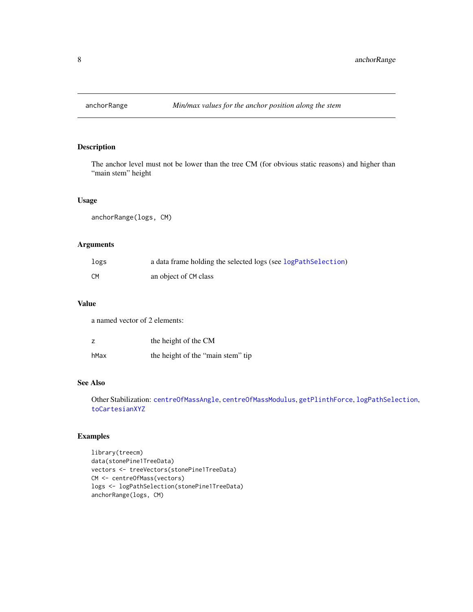<span id="page-7-1"></span><span id="page-7-0"></span>

The anchor level must not be lower than the tree CM (for obvious static reasons) and higher than "main stem" height

# Usage

anchorRange(logs, CM)

# Arguments

| logs | a data frame holding the selected logs (see logPathSelection) |
|------|---------------------------------------------------------------|
| CM   | an object of CM class                                         |

# Value

a named vector of 2 elements:

| z    | the height of the CM              |
|------|-----------------------------------|
| hMax | the height of the "main stem" tip |

# See Also

Other Stabilization: [centreOfMassAngle](#page-11-1), [centreOfMassModulus](#page-11-2), [getPlinthForce](#page-15-1), [logPathSelection](#page-18-1), [toCartesianXYZ](#page-28-1)

# Examples

```
library(treecm)
data(stonePine1TreeData)
vectors <- treeVectors(stonePine1TreeData)
CM <- centreOfMass(vectors)
logs <- logPathSelection(stonePine1TreeData)
anchorRange(logs, CM)
```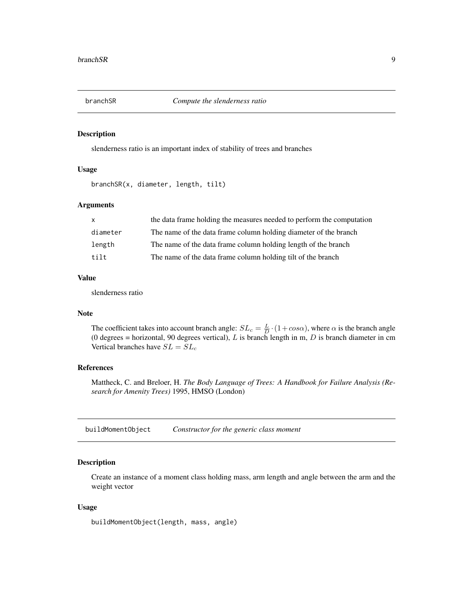<span id="page-8-2"></span><span id="page-8-0"></span>

slenderness ratio is an important index of stability of trees and branches

# Usage

branchSR(x, diameter, length, tilt)

# Arguments

| $\mathsf{x}$ | the data frame holding the measures needed to perform the computation |
|--------------|-----------------------------------------------------------------------|
| diameter     | The name of the data frame column holding diameter of the branch      |
| length       | The name of the data frame column holding length of the branch        |
| tilt         | The name of the data frame column holding tilt of the branch          |

# Value

slenderness ratio

#### Note

The coefficient takes into account branch angle:  $SL_c = \frac{L}{D} \cdot (1 + cos \alpha)$ , where  $\alpha$  is the branch angle (0 degrees = horizontal, 90 degrees vertical),  $L$  is branch length in m,  $D$  is branch diameter in cm Vertical branches have  $SL = SL<sub>c</sub>$ 

# References

Mattheck, C. and Breloer, H. *The Body Language of Trees: A Handbook for Failure Analysis (Research for Amenity Trees)* 1995, HMSO (London)

<span id="page-8-1"></span>buildMomentObject *Constructor for the generic class moment*

#### Description

Create an instance of a moment class holding mass, arm length and angle between the arm and the weight vector

#### Usage

buildMomentObject(length, mass, angle)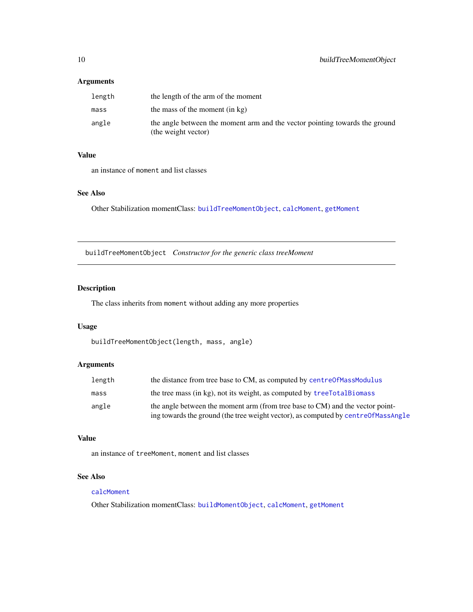#### <span id="page-9-0"></span>Arguments

| length | the length of the arm of the moment                                                                |
|--------|----------------------------------------------------------------------------------------------------|
| mass   | the mass of the moment (in kg)                                                                     |
| angle  | the angle between the moment arm and the vector pointing towards the ground<br>(the weight vector) |

# Value

an instance of moment and list classes

# See Also

Other Stabilization momentClass: [buildTreeMomentObject](#page-9-1), [calcMoment](#page-10-1), [getMoment](#page-14-1)

<span id="page-9-1"></span>buildTreeMomentObject *Constructor for the generic class treeMoment*

# Description

The class inherits from moment without adding any more properties

# Usage

```
buildTreeMomentObject(length, mass, angle)
```
# Arguments

| length | the distance from tree base to CM, as computed by centre0fMassModulus                                                                                              |
|--------|--------------------------------------------------------------------------------------------------------------------------------------------------------------------|
| mass   | the tree mass (in kg), not its weight, as computed by treeTotalBiomass                                                                                             |
| angle  | the angle between the moment arm (from tree base to CM) and the vector point-<br>ing towards the ground (the tree weight vector), as computed by centre0fMassAngle |

# Value

an instance of treeMoment, moment and list classes

# See Also

#### [calcMoment](#page-10-1)

Other Stabilization momentClass: [buildMomentObject](#page-8-1), [calcMoment](#page-10-1), [getMoment](#page-14-1)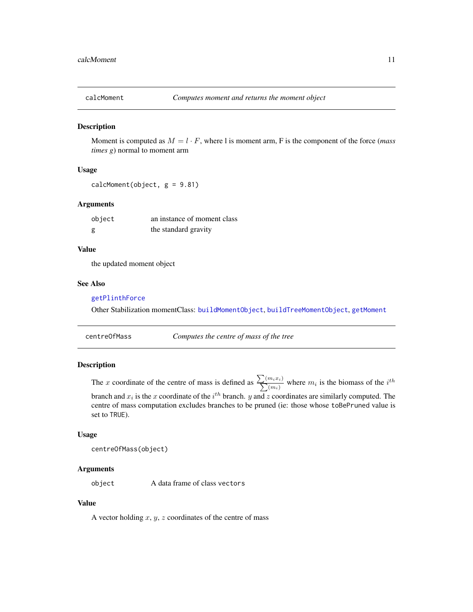<span id="page-10-1"></span><span id="page-10-0"></span>

Moment is computed as  $M = l \cdot F$ , where l is moment arm, F is the component of the force (*mass times g*) normal to moment arm

# Usage

 $calC$ Moment(object,  $g = 9.81$ )

#### Arguments

| object | an instance of moment class |
|--------|-----------------------------|
| g      | the standard gravity        |

# Value

the updated moment object

#### See Also

# [getPlinthForce](#page-15-1)

Other Stabilization momentClass: [buildMomentObject](#page-8-1), [buildTreeMomentObject](#page-9-1), [getMoment](#page-14-1)

centreOfMass *Computes the centre of mass of the tree*

# Description

The x coordinate of the centre of mass is defined as  $\sum_{n=1}^{\infty}$  $\sum$  $(m_ix_i)$  $\frac{m_i x_i}{(m_i)}$  where  $m_i$  is the biomass of the  $i^{th}$ branch and  $x_i$  is the x coordinate of the  $i^{th}$  branch. y and z coordinates are similarly computed. The centre of mass computation excludes branches to be pruned (ie: those whose toBePruned value is set to TRUE).

#### Usage

```
centreOfMass(object)
```
#### Arguments

object A data frame of class vectors

# Value

A vector holding  $x, y, z$  coordinates of the centre of mass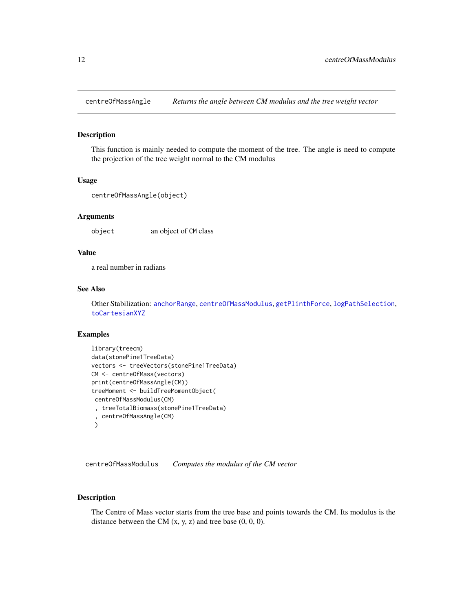<span id="page-11-1"></span><span id="page-11-0"></span>

This function is mainly needed to compute the moment of the tree. The angle is need to compute the projection of the tree weight normal to the CM modulus

#### Usage

```
centreOfMassAngle(object)
```
# Arguments

object an object of CM class

# Value

a real number in radians

# See Also

Other Stabilization: [anchorRange](#page-7-1), [centreOfMassModulus](#page-11-2), [getPlinthForce](#page-15-1), [logPathSelection](#page-18-1), [toCartesianXYZ](#page-28-1)

#### Examples

```
library(treecm)
data(stonePine1TreeData)
vectors <- treeVectors(stonePine1TreeData)
CM <- centreOfMass(vectors)
print(centreOfMassAngle(CM))
treeMoment <- buildTreeMomentObject(
 centreOfMassModulus(CM)
 , treeTotalBiomass(stonePine1TreeData)
 , centreOfMassAngle(CM)
 )
```
<span id="page-11-2"></span>centreOfMassModulus *Computes the modulus of the CM vector*

# Description

The Centre of Mass vector starts from the tree base and points towards the CM. Its modulus is the distance between the CM  $(x, y, z)$  and tree base  $(0, 0, 0)$ .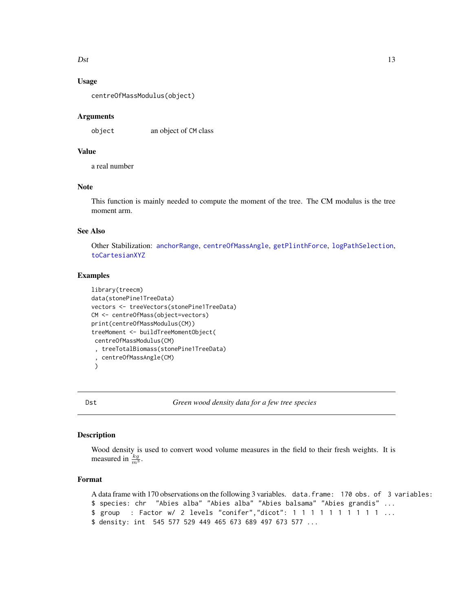#### <span id="page-12-0"></span> $\eta$  13

# Usage

centreOfMassModulus(object)

#### Arguments

object an object of CM class

# Value

a real number

# Note

This function is mainly needed to compute the moment of the tree. The CM modulus is the tree moment arm.

# See Also

Other Stabilization: [anchorRange](#page-7-1), [centreOfMassAngle](#page-11-1), [getPlinthForce](#page-15-1), [logPathSelection](#page-18-1), [toCartesianXYZ](#page-28-1)

# Examples

```
library(treecm)
data(stonePine1TreeData)
vectors <- treeVectors(stonePine1TreeData)
CM <- centreOfMass(object=vectors)
print(centreOfMassModulus(CM))
treeMoment <- buildTreeMomentObject(
 centreOfMassModulus(CM)
 , treeTotalBiomass(stonePine1TreeData)
  , centreOfMassAngle(CM)
 )
```
Dst *Green wood density data for a few tree species*

#### Description

Wood density is used to convert wood volume measures in the field to their fresh weights. It is measured in  $\frac{kg}{m^3}$ .

# Format

```
A data frame with 170 observations on the following 3 variables. data.frame: 170 obs. of 3 variables:
$ species: chr "Abies alba" "Abies alba" "Abies balsama" "Abies grandis" ...
$ group : Factor w/ 2 levels "conifer", "dicot": 1 1 1 1 1 1 1 1 1 1 1 ...
$ density: int 545 577 529 449 465 673 689 497 673 577 ...
```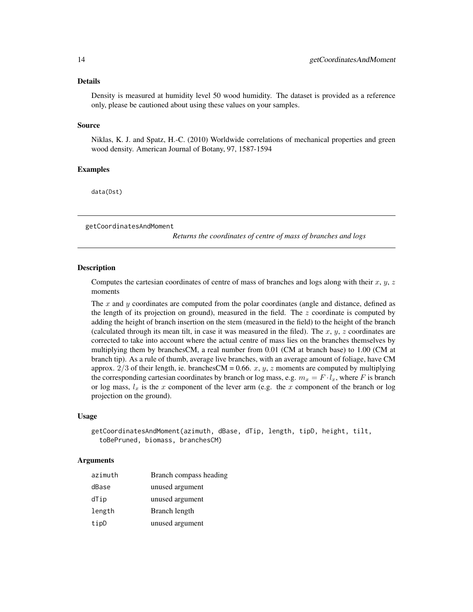#### <span id="page-13-0"></span>Details

Density is measured at humidity level 50 wood humidity. The dataset is provided as a reference only, please be cautioned about using these values on your samples.

#### Source

Niklas, K. J. and Spatz, H.-C. (2010) Worldwide correlations of mechanical properties and green wood density. American Journal of Botany, 97, 1587-1594

#### Examples

data(Dst)

<span id="page-13-1"></span>getCoordinatesAndMoment

*Returns the coordinates of centre of mass of branches and logs*

# **Description**

Computes the cartesian coordinates of centre of mass of branches and logs along with their  $x, y, z$ moments

The x and y coordinates are computed from the polar coordinates (angle and distance, defined as the length of its projection on ground), measured in the field. The  $z$  coordinate is computed by adding the height of branch insertion on the stem (measured in the field) to the height of the branch (calculated through its mean tilt, in case it was measured in the filed). The  $x, y, z$  coordinates are corrected to take into account where the actual centre of mass lies on the branches themselves by multiplying them by branchesCM, a real number from 0.01 (CM at branch base) to 1.00 (CM at branch tip). As a rule of thumb, average live branches, with an average amount of foliage, have CM approx.  $2/3$  of their length, ie. branchesCM = 0.66. x, y, z moments are computed by multiplying the corresponding cartesian coordinates by branch or log mass, e.g.  $m_x = F \cdot l_x$ , where F is branch or log mass,  $l_x$  is the x component of the lever arm (e.g. the x component of the branch or log projection on the ground).

#### Usage

```
getCoordinatesAndMoment(azimuth, dBase, dTip, length, tipD, height, tilt,
  toBePruned, biomass, branchesCM)
```
#### Arguments

| azimuth | Branch compass heading |
|---------|------------------------|
| dBase   | unused argument        |
| dTip    | unused argument        |
| length  | Branch length          |
| tipD    | unused argument        |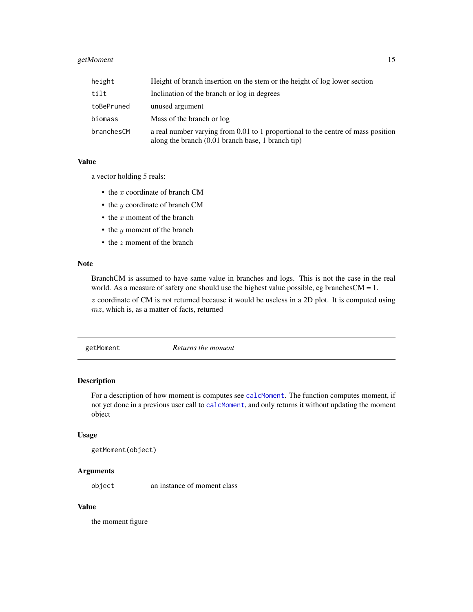# <span id="page-14-0"></span>getMoment 15

| height     | Height of branch insertion on the stem or the height of log lower section                                                               |
|------------|-----------------------------------------------------------------------------------------------------------------------------------------|
| tilt       | Inclination of the branch or log in degrees                                                                                             |
| toBePruned | unused argument                                                                                                                         |
| biomass    | Mass of the branch or log                                                                                                               |
| branchesCM | a real number varying from 0.01 to 1 proportional to the centre of mass position<br>along the branch $(0.01$ branch base, 1 branch tip) |

#### Value

a vector holding 5 reals:

- $\bullet$  the x coordinate of branch CM
- the *y* coordinate of branch CM
- $\bullet$  the x moment of the branch
- $\bullet$  the *y* moment of the branch
- the z moment of the branch

#### Note

BranchCM is assumed to have same value in branches and logs. This is not the case in the real world. As a measure of safety one should use the highest value possible, eg branchesCM =  $1$ .

 $z$  coordinate of CM is not returned because it would be useless in a 2D plot. It is computed using  $mz$ , which is, as a matter of facts, returned

<span id="page-14-1"></span>getMoment *Returns the moment*

#### Description

For a description of how moment is computes see [calcMoment](#page-10-1). The function computes moment, if not yet done in a previous user call to [calcMoment](#page-10-1), and only returns it without updating the moment object

#### Usage

```
getMoment(object)
```
# Arguments

object an instance of moment class

# Value

the moment figure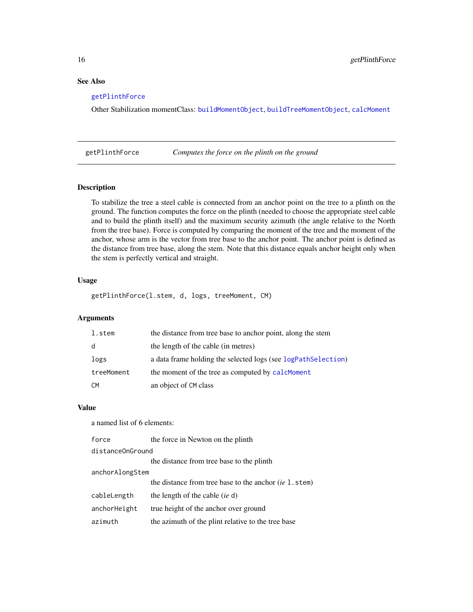# See Also

#### [getPlinthForce](#page-15-1)

Other Stabilization momentClass: [buildMomentObject](#page-8-1), [buildTreeMomentObject](#page-9-1), [calcMoment](#page-10-1)

<span id="page-15-1"></span>getPlinthForce *Computes the force on the plinth on the ground*

# Description

To stabilize the tree a steel cable is connected from an anchor point on the tree to a plinth on the ground. The function computes the force on the plinth (needed to choose the appropriate steel cable and to build the plinth itself) and the maximum security azimuth (the angle relative to the North from the tree base). Force is computed by comparing the moment of the tree and the moment of the anchor, whose arm is the vector from tree base to the anchor point. The anchor point is defined as the distance from tree base, along the stem. Note that this distance equals anchor height only when the stem is perfectly vertical and straight.

# Usage

getPlinthForce(l.stem, d, logs, treeMoment, CM)

# Arguments

| l.stem     | the distance from tree base to anchor point, along the stem   |
|------------|---------------------------------------------------------------|
| d          | the length of the cable (in metres)                           |
| logs       | a data frame holding the selected logs (see logPathSelection) |
| treeMoment | the moment of the tree as computed by calcMoment              |
| CM         | an object of CM class                                         |

# Value

a named list of 6 elements:

| force            | the force in Newton on the plinth                        |
|------------------|----------------------------------------------------------|
| distanceOnGround |                                                          |
|                  | the distance from tree base to the plinth                |
| anchorAlongStem  |                                                          |
|                  | the distance from tree base to the anchor $(ie 1. stem)$ |
| cableLength      | the length of the cable (ie d)                           |
| anchorHeight     | true height of the anchor over ground                    |
| azimuth          | the azimuth of the plint relative to the tree base       |

<span id="page-15-0"></span>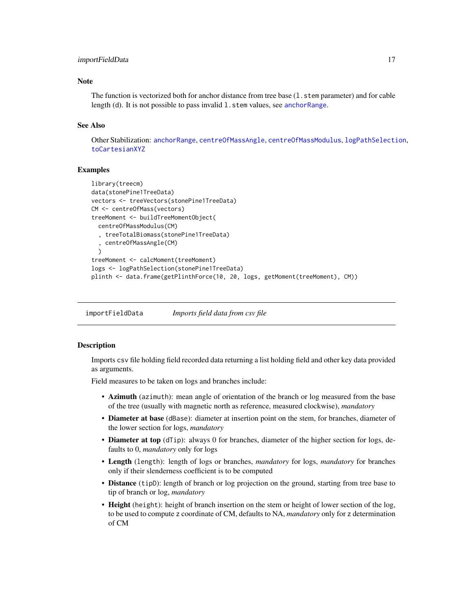#### <span id="page-16-0"></span>importFieldData 17

#### **Note**

The function is vectorized both for anchor distance from tree base (1, stem parameter) and for cable length (d). It is not possible to pass invalid 1. stem values, see [anchorRange](#page-7-1).

#### See Also

Other Stabilization: [anchorRange](#page-7-1), [centreOfMassAngle](#page-11-1), [centreOfMassModulus](#page-11-2), [logPathSelection](#page-18-1), [toCartesianXYZ](#page-28-1)

# Examples

```
library(treecm)
data(stonePine1TreeData)
vectors <- treeVectors(stonePine1TreeData)
CM <- centreOfMass(vectors)
treeMoment <- buildTreeMomentObject(
  centreOfMassModulus(CM)
  , treeTotalBiomass(stonePine1TreeData)
  , centreOfMassAngle(CM)
  \lambdatreeMoment <- calcMoment(treeMoment)
logs <- logPathSelection(stonePine1TreeData)
plinth <- data.frame(getPlinthForce(10, 20, logs, getMoment(treeMoment), CM))
```
<span id="page-16-1"></span>importFieldData *Imports field data from csv file*

#### **Description**

Imports csv file holding field recorded data returning a list holding field and other key data provided as arguments.

Field measures to be taken on logs and branches include:

- Azimuth (azimuth): mean angle of orientation of the branch or log measured from the base of the tree (usually with magnetic north as reference, measured clockwise), *mandatory*
- Diameter at base (dBase): diameter at insertion point on the stem, for branches, diameter of the lower section for logs, *mandatory*
- **Diameter at top** (dTip): always 0 for branches, diameter of the higher section for logs, defaults to 0, *mandatory* only for logs
- Length (length): length of logs or branches, *mandatory* for logs, *mandatory* for branches only if their slenderness coefficient is to be computed
- Distance (tipD): length of branch or log projection on the ground, starting from tree base to tip of branch or log, *mandatory*
- Height (height): height of branch insertion on the stem or height of lower section of the log, to be used to compute z coordinate of CM, defaults to NA, *mandatory* only for z determination of CM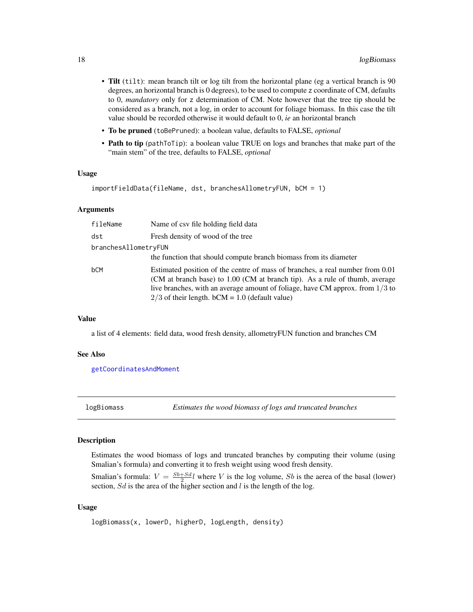- <span id="page-17-0"></span>• Tilt (tilt): mean branch tilt or log tilt from the horizontal plane (eg a vertical branch is 90 degrees, an horizontal branch is 0 degrees), to be used to compute z coordinate of CM, defaults to 0, *mandatory* only for z determination of CM. Note however that the tree tip should be considered as a branch, not a log, in order to account for foliage biomass. In this case the tilt value should be recorded otherwise it would default to 0, *ie* an horizontal branch
- To be pruned (toBePruned): a boolean value, defaults to FALSE, *optional*
- Path to tip (pathToTip): a boolean value TRUE on logs and branches that make part of the "main stem" of the tree, defaults to FALSE, *optional*

#### Usage

```
importFieldData(fileName, dst, branchesAllometryFUN, bCM = 1)
```
#### Arguments

| fileName             | Name of csy file holding field data                                                                                                                                                                                                                                                                 |
|----------------------|-----------------------------------------------------------------------------------------------------------------------------------------------------------------------------------------------------------------------------------------------------------------------------------------------------|
| dst                  | Fresh density of wood of the tree                                                                                                                                                                                                                                                                   |
| branchesAllometryFUN |                                                                                                                                                                                                                                                                                                     |
|                      | the function that should compute branch biomass from its diameter                                                                                                                                                                                                                                   |
| bCM                  | Estimated position of the centre of mass of branches, a real number from 0.01<br>(CM at branch base) to 1.00 (CM at branch tip). As a rule of thumb, average<br>live branches, with an average amount of foliage, have CM approx. from $1/3$ to<br>$2/3$ of their length. bCM = 1.0 (default value) |

#### Value

a list of 4 elements: field data, wood fresh density, allometryFUN function and branches CM

#### See Also

[getCoordinatesAndMoment](#page-13-1)

<span id="page-17-1"></span>logBiomass *Estimates the wood biomass of logs and truncated branches*

#### Description

Estimates the wood biomass of logs and truncated branches by computing their volume (using Smalian's formula) and converting it to fresh weight using wood fresh density.

Smalian's formula:  $V = \frac{Sb + Sd}{2}l$  where V is the log volume, Sb is the aerea of the basal (lower) smallar s formula.  $v = \frac{2}{2}$  where v is the log volume, so is the section, Sd is the area of the higher section and l is the length of the log.

#### Usage

logBiomass(x, lowerD, higherD, logLength, density)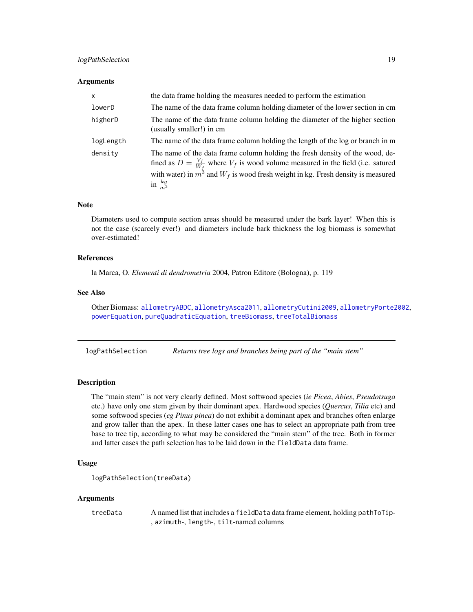# <span id="page-18-0"></span>logPathSelection 19

#### **Arguments**

| <b>X</b>  | the data frame holding the measures needed to perform the estimation                                                                                                                                                                                                                         |
|-----------|----------------------------------------------------------------------------------------------------------------------------------------------------------------------------------------------------------------------------------------------------------------------------------------------|
| lowerD    | The name of the data frame column holding diameter of the lower section in cm                                                                                                                                                                                                                |
| higherD   | The name of the data frame column holding the diameter of the higher section<br>(usually smaller!) in cm                                                                                                                                                                                     |
| logLength | The name of the data frame column holding the length of the log or branch in m                                                                                                                                                                                                               |
| density   | The name of the data frame column holding the fresh density of the wood, de-<br>fined as $D = \frac{V_f}{W_f}$ where $V_f$ is wood volume measured in the field (i.e. satured<br>with water) in $m^3$ and $W_f$ is wood fresh weight in kg. Fresh density is measured<br>in $\frac{kg}{m^3}$ |

# Note

Diameters used to compute section areas should be measured under the bark layer! When this is not the case (scarcely ever!) and diameters include bark thickness the log biomass is somewhat over-estimated!

#### References

la Marca, O. *Elementi di dendrometria* 2004, Patron Editore (Bologna), p. 119

# See Also

Other Biomass: [allometryABDC](#page-3-1), [allometryAsca2011](#page-4-1), [allometryCutini2009](#page-5-1), [allometryPorte2002](#page-6-1), [powerEquation](#page-22-1), [pureQuadraticEquation](#page-23-1), [treeBiomass](#page-29-1), [treeTotalBiomass](#page-30-1)

<span id="page-18-1"></span>logPathSelection *Returns tree logs and branches being part of the "main stem"*

# **Description**

The "main stem" is not very clearly defined. Most softwood species (*ie Picea*, *Abies*, *Pseudotsuga* etc.) have only one stem given by their dominant apex. Hardwood species (*Quercus*, *Tilia* etc) and some softwood species (*eg Pinus pinea*) do not exhibit a dominant apex and branches often enlarge and grow taller than the apex. In these latter cases one has to select an appropriate path from tree base to tree tip, according to what may be considered the "main stem" of the tree. Both in former and latter cases the path selection has to be laid down in the fieldData data frame.

# Usage

```
logPathSelection(treeData)
```
#### Arguments

treeData A named list that includes a fieldData data frame element, holding pathToTip- , azimuth-, length-, tilt-named columns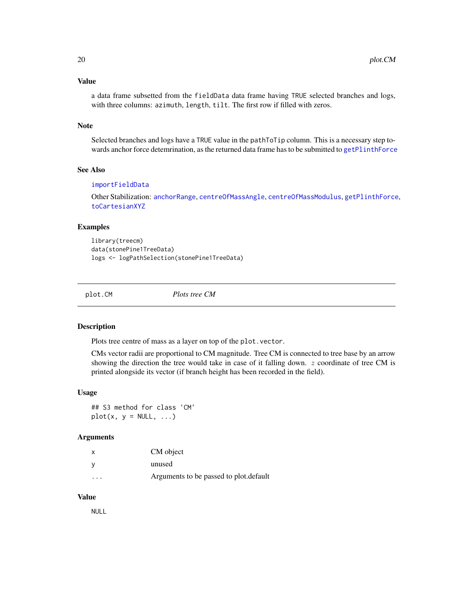#### <span id="page-19-0"></span>Value

a data frame subsetted from the fieldData data frame having TRUE selected branches and logs, with three columns: azimuth, length, tilt. The first row if filled with zeros.

#### Note

Selected branches and logs have a TRUE value in the pathToTip column. This is a necessary step towards anchor force detemrination, as the returned data frame has to be submitted to [getPlinthForce](#page-15-1)

# See Also

#### [importFieldData](#page-16-1)

Other Stabilization: [anchorRange](#page-7-1), [centreOfMassAngle](#page-11-1), [centreOfMassModulus](#page-11-2), [getPlinthForce](#page-15-1), [toCartesianXYZ](#page-28-1)

# Examples

library(treecm) data(stonePine1TreeData) logs <- logPathSelection(stonePine1TreeData)

plot.CM *Plots tree CM*

#### Description

Plots tree centre of mass as a layer on top of the plot.vector.

CMs vector radii are proportional to CM magnitude. Tree CM is connected to tree base by an arrow showing the direction the tree would take in case of it falling down.  $z$  coordinate of tree CM is printed alongside its vector (if branch height has been recorded in the field).

#### Usage

## S3 method for class 'CM'  $plot(x, y = NULL, ...)$ 

#### Arguments

| $\boldsymbol{\mathsf{x}}$ | CM object                               |
|---------------------------|-----------------------------------------|
| <b>V</b>                  | unused                                  |
| $\cdot$                   | Arguments to be passed to plot. default |

# Value

NULL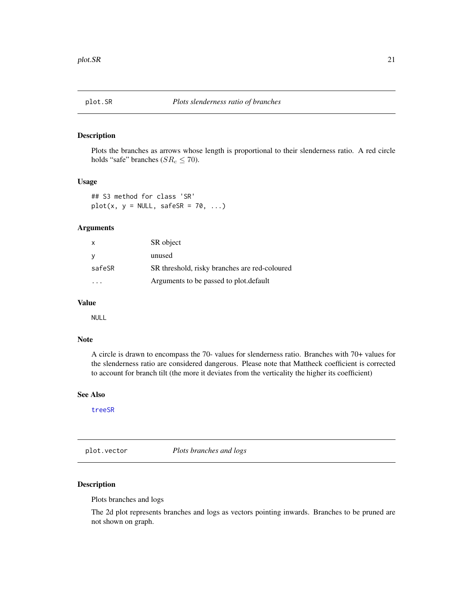<span id="page-20-0"></span>

Plots the branches as arrows whose length is proportional to their slenderness ratio. A red circle holds "safe" branches ( $SR_c \leq 70$ ).

# Usage

## S3 method for class 'SR'  $plot(x, y = NULL, safeSR = 70, ...)$ 

#### Arguments

| $\mathsf{x}$ | SR object                                     |
|--------------|-----------------------------------------------|
| - V          | unused                                        |
| safeSR       | SR threshold, risky branches are red-coloured |
|              | Arguments to be passed to plot. default       |

# Value

NULL

### Note

A circle is drawn to encompass the 70- values for slenderness ratio. Branches with 70+ values for the slenderness ratio are considered dangerous. Please note that Mattheck coefficient is corrected to account for branch tilt (the more it deviates from the verticality the higher its coefficient)

# See Also

[treeSR](#page-29-2)

plot.vector *Plots branches and logs*

# Description

Plots branches and logs

The 2d plot represents branches and logs as vectors pointing inwards. Branches to be pruned are not shown on graph.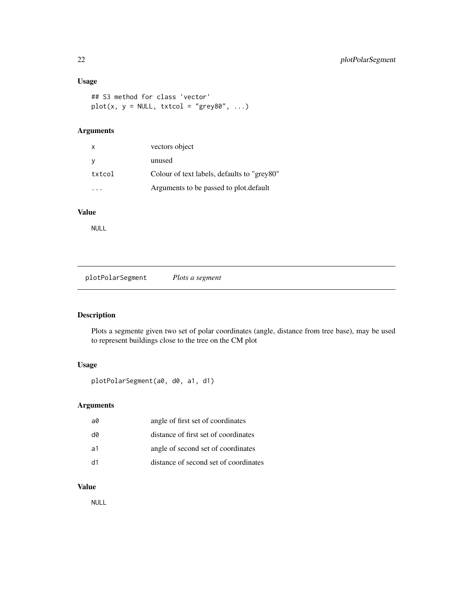# <span id="page-21-0"></span>Usage

```
## S3 method for class 'vector'
plot(x, y = NULL, txtcol = "grey80", ...)
```
# Arguments

| $\mathsf{x}$ | vectors object                              |
|--------------|---------------------------------------------|
|              | unused                                      |
| txtcol       | Colour of text labels, defaults to "grey80" |
|              | Arguments to be passed to plot. default     |

# Value

NULL

plotPolarSegment *Plots a segment*

# Description

Plots a segmente given two set of polar coordinates (angle, distance from tree base), may be used to represent buildings close to the tree on the CM plot

# Usage

plotPolarSegment(a0, d0, a1, d1)

# Arguments

| a0 | angle of first set of coordinates     |
|----|---------------------------------------|
| d0 | distance of first set of coordinates  |
| a1 | angle of second set of coordinates    |
| d1 | distance of second set of coordinates |

# Value

NULL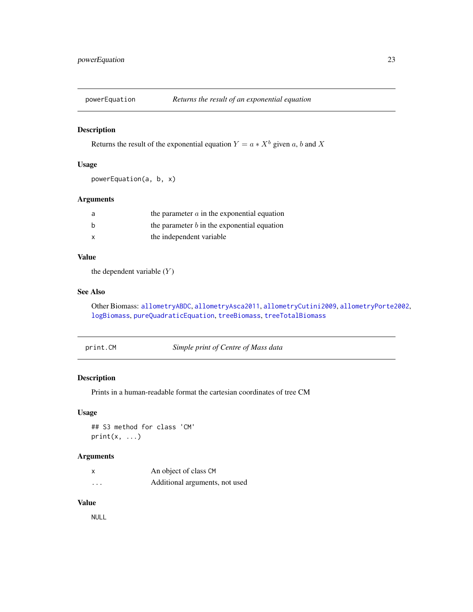<span id="page-22-1"></span><span id="page-22-0"></span>

Returns the result of the exponential equation  $Y = a * X^b$  given a, b and X

#### Usage

```
powerEquation(a, b, x)
```
# Arguments

| a            | the parameter $a$ in the exponential equation |
|--------------|-----------------------------------------------|
| b            | the parameter $b$ in the exponential equation |
| $\mathsf{x}$ | the independent variable                      |

#### Value

the dependent variable  $(Y)$ 

# See Also

Other Biomass: [allometryABDC](#page-3-1), [allometryAsca2011](#page-4-1), [allometryCutini2009](#page-5-1), [allometryPorte2002](#page-6-1), [logBiomass](#page-17-1), [pureQuadraticEquation](#page-23-1), [treeBiomass](#page-29-1), [treeTotalBiomass](#page-30-1)

print.CM *Simple print of Centre of Mass data*

# Description

Prints in a human-readable format the cartesian coordinates of tree CM

# Usage

```
## S3 method for class 'CM'
print(x, \ldots)
```
# Arguments

|          | An object of class CM          |
|----------|--------------------------------|
| $\cdots$ | Additional arguments, not used |

# Value

NULL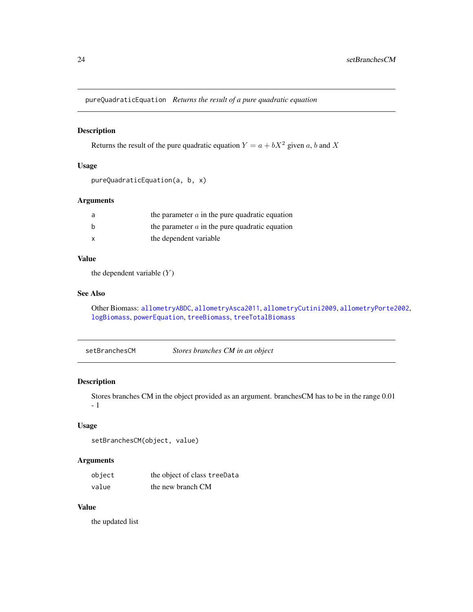<span id="page-23-1"></span><span id="page-23-0"></span>pureQuadraticEquation *Returns the result of a pure quadratic equation*

#### Description

Returns the result of the pure quadratic equation  $Y = a + bX^2$  given a, b and X

# Usage

```
pureQuadraticEquation(a, b, x)
```
# Arguments

| a | the parameter $\alpha$ in the pure quadratic equation |
|---|-------------------------------------------------------|
| b | the parameter $\alpha$ in the pure quadratic equation |
| x | the dependent variable                                |

# Value

the dependent variable  $(Y)$ 

# See Also

Other Biomass: [allometryABDC](#page-3-1), [allometryAsca2011](#page-4-1), [allometryCutini2009](#page-5-1), [allometryPorte2002](#page-6-1), [logBiomass](#page-17-1), [powerEquation](#page-22-1), [treeBiomass](#page-29-1), [treeTotalBiomass](#page-30-1)

setBranchesCM *Stores branches CM in an object*

# Description

Stores branches CM in the object provided as an argument. branchesCM has to be in the range 0.01 - 1

#### Usage

```
setBranchesCM(object, value)
```
#### Arguments

| object | the object of class treeData |
|--------|------------------------------|
| value  | the new branch CM            |

# Value

the updated list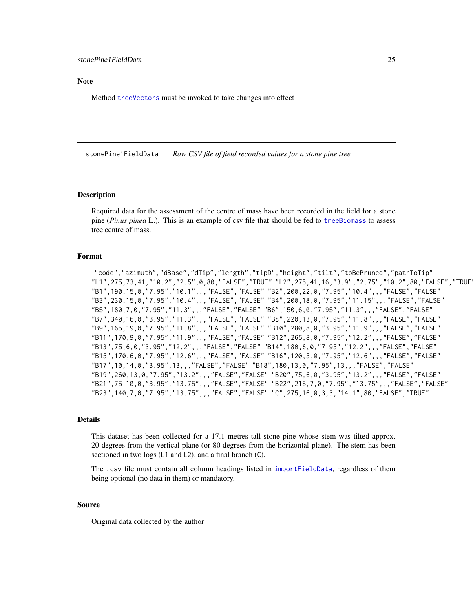<span id="page-24-0"></span>**Note** 

Method [treeVectors](#page-31-1) must be invoked to take changes into effect

<span id="page-24-1"></span>stonePine1FieldData *Raw CSV file of field recorded values for a stone pine tree*

#### Description

Required data for the assessment of the centre of mass have been recorded in the field for a stone pine (*Pinus pinea* L.). This is an example of csv file that should be fed to [treeBiomass](#page-29-1) to assess tree centre of mass.

#### Format

"code","azimuth","dBase","dTip","length","tipD","height","tilt","toBePruned","pathToTip" "L1",275,73,41,"10.2","2.5",0,80,"FALSE","TRUE" "L2",275,41,16,"3.9","2.75","10.2",80,"FALSE","TRUE" "B1",190,15,0,"7.95","10.1",,,"FALSE","FALSE" "B2",200,22,0,"7.95","10.4",,,"FALSE","FALSE" "B3",230,15,0,"7.95","10.4",,,"FALSE","FALSE" "B4",200,18,0,"7.95","11.15",,,"FALSE","FALSE" "B5",180,7,0,"7.95","11.3",,,"FALSE","FALSE" "B6",150,6,0,"7.95","11.3",,,"FALSE","FALSE" "B7",340,16,0,"3.95","11.3",,,"FALSE","FALSE" "B8",220,13,0,"7.95","11.8",,,"FALSE","FALSE" "B9",165,19,0,"7.95","11.8",,,"FALSE","FALSE" "B10",280,8,0,"3.95","11.9",,,"FALSE","FALSE" "B11",170,9,0,"7.95","11.9",,,"FALSE","FALSE" "B12",265,8,0,"7.95","12.2",,,"FALSE","FALSE" "B13",75,6,0,"3.95","12.2",,,"FALSE","FALSE" "B14",180,6,0,"7.95","12.2",,,"FALSE","FALSE" "B15",170,6,0,"7.95","12.6",,,"FALSE","FALSE" "B16",120,5,0,"7.95","12.6",,,"FALSE","FALSE" "B17",10,14,0,"3.95",13,,,"FALSE","FALSE" "B18",180,13,0,"7.95",13,,,"FALSE","FALSE" "B19",260,13,0,"7.95","13.2",,,"FALSE","FALSE" "B20",75,6,0,"3.95","13.2",,,"FALSE","FALSE" "B21",75,10,0,"3.95","13.75",,,"FALSE","FALSE" "B22",215,7,0,"7.95","13.75",,,"FALSE","FALSE" "B23",140,7,0,"7.95","13.75",,,"FALSE","FALSE" "C",275,16,0,3,3,"14.1",80,"FALSE","TRUE"

#### Details

This dataset has been collected for a 17.1 metres tall stone pine whose stem was tilted approx. 20 degrees from the vertical plane (or 80 degrees from the horizontal plane). The stem has been sectioned in two logs (L1 and L2), and a final branch (C).

The .csv file must contain all column headings listed in [importFieldData](#page-16-1), regardless of them being optional (no data in them) or mandatory.

#### Source

Original data collected by the author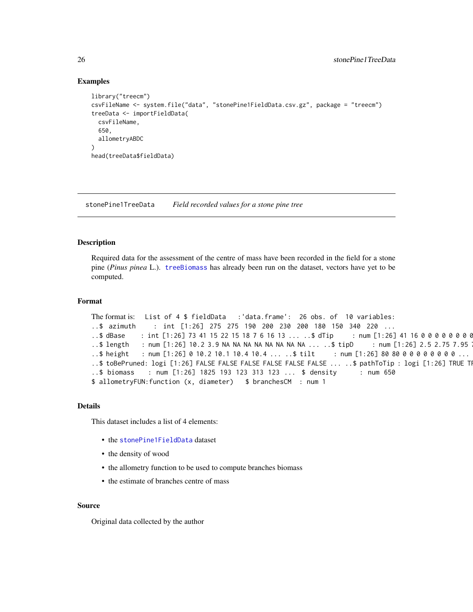#### Examples

```
library("treecm")
csvFileName <- system.file("data", "stonePine1FieldData.csv.gz", package = "treecm")
treeData <- importFieldData(
 csvFileName,
 650,
 allometryABDC
\lambdahead(treeData$fieldData)
```
stonePine1TreeData *Field recorded values for a stone pine tree*

#### Description

Required data for the assessment of the centre of mass have been recorded in the field for a stone pine (*Pinus pinea* L.). [treeBiomass](#page-29-1) has already been run on the dataset, vectors have yet to be computed.

### Format

```
The format is: List of 4 $ fieldData :'data.frame': 26 obs. of 10 variables:
..$ azimuth : int [1:26] 275 275 190 200 230 200 180 150 340 220 ...
..$dBase : int [1:26] 73 41 15 22 15 18 7 6 16 13 ... ..$dTip : num [1:26] 41 16 0 0 0 0 0 0 0 0
..$ length : num [1:26] 10.2 3.9 NA NA NA NA NA NA NA ... ..$ tipD : num [1:26] 2.5 2.75 7.95
..$ height : num [1:26] 0 10.2 10.1 10.4 10.4 ... ..$ tilt : num [1:26] 80 80 0 0 0 0 0 0 0 0 ...
..$ toBePruned: logi [1:26] FALSE FALSE FALSE FALSE FALSE FALSE ... ..$ pathToTip : logi [1:26] TRUE TI
..$ biomass : num [1:26] 1825 193 123 313 123 ... $ density : num 650
$ allometryFUN:function (x, diameter) $ branchesCM : num 1
```
#### Details

This dataset includes a list of 4 elements:

- the [stonePine1FieldData](#page-24-1) dataset
- the density of wood
- the allometry function to be used to compute branches biomass
- the estimate of branches centre of mass

#### Source

Original data collected by the author

<span id="page-25-0"></span>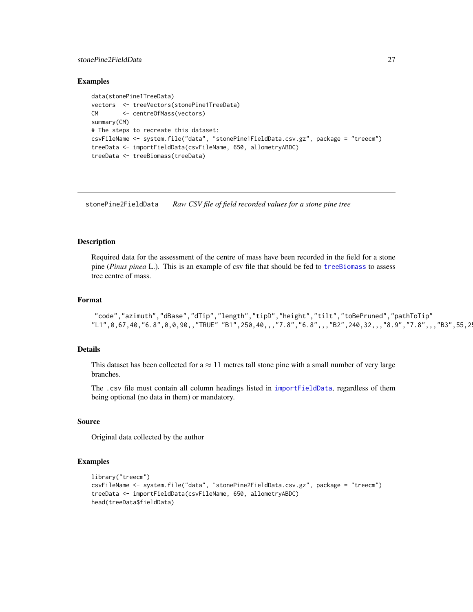# <span id="page-26-0"></span>stonePine2FieldData 27

#### Examples

```
data(stonePine1TreeData)
vectors <- treeVectors(stonePine1TreeData)
CM <- centreOfMass(vectors)
summary(CM)
# The steps to recreate this dataset:
csvFileName <- system.file("data", "stonePine1FieldData.csv.gz", package = "treecm")
treeData <- importFieldData(csvFileName, 650, allometryABDC)
treeData <- treeBiomass(treeData)
```
stonePine2FieldData *Raw CSV file of field recorded values for a stone pine tree*

# Description

Required data for the assessment of the centre of mass have been recorded in the field for a stone pine (*Pinus pinea* L.). This is an example of csv file that should be fed to [treeBiomass](#page-29-1) to assess tree centre of mass.

#### Format

```
"code","azimuth","dBase","dTip","length","tipD","height","tilt","toBePruned","pathToTip"
"L1", 0, 67, 40, "6.8", 0, 0, 90,, "TRUE" "B1", 250, 40,,, "7.8", "6.8",,, "B2", 240, 32,,, "8.9", "7.8",,, "B3", 55, 2
```
# Details

This dataset has been collected for  $a \approx 11$  metres tall stone pine with a small number of very large branches.

The .csv file must contain all column headings listed in [importFieldData](#page-16-1), regardless of them being optional (no data in them) or mandatory.

#### Source

Original data collected by the author

#### Examples

```
library("treecm")
csvFileName <- system.file("data", "stonePine2FieldData.csv.gz", package = "treecm")
treeData <- importFieldData(csvFileName, 650, allometryABDC)
head(treeData$fieldData)
```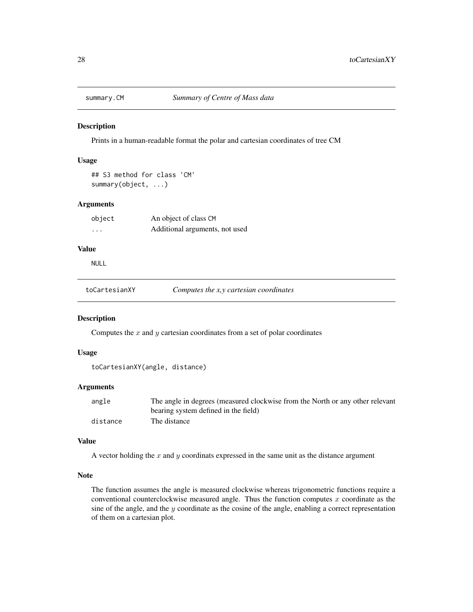<span id="page-27-0"></span>

Prints in a human-readable format the polar and cartesian coordinates of tree CM

# Usage

```
## S3 method for class 'CM'
summary(object, ...)
```
# Arguments

| object                  | An object of class CM          |
|-------------------------|--------------------------------|
| $\cdot$ $\cdot$ $\cdot$ | Additional arguments, not used |

#### Value

NULL

toCartesianXY *Computes the x,y cartesian coordinates*

# Description

Computes the  $x$  and  $y$  cartesian coordinates from a set of polar coordinates

#### Usage

```
toCartesianXY(angle, distance)
```
# Arguments

| angle    | The angle in degrees (measured clockwise from the North or any other relevant |
|----------|-------------------------------------------------------------------------------|
|          | bearing system defined in the field)                                          |
| distance | The distance                                                                  |

# Value

A vector holding the  $x$  and  $y$  coordinats expressed in the same unit as the distance argument

#### Note

The function assumes the angle is measured clockwise whereas trigonometric functions require a conventional counterclockwise measured angle. Thus the function computes  $x$  coordinate as the sine of the angle, and the  $y$  coordinate as the cosine of the angle, enabling a correct representation of them on a cartesian plot.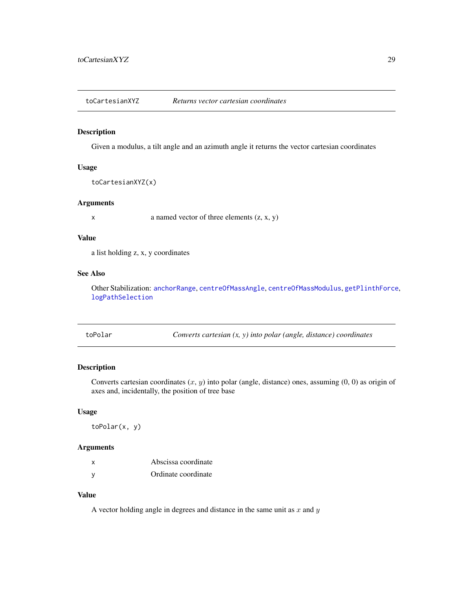<span id="page-28-1"></span><span id="page-28-0"></span>toCartesianXYZ *Returns vector cartesian coordinates*

# Description

Given a modulus, a tilt angle and an azimuth angle it returns the vector cartesian coordinates

#### Usage

```
toCartesianXYZ(x)
```
#### Arguments

 $x \neq 0$  a named vector of three elements  $(z, x, y)$ 

# Value

a list holding z, x, y coordinates

# See Also

Other Stabilization: [anchorRange](#page-7-1), [centreOfMassAngle](#page-11-1), [centreOfMassModulus](#page-11-2), [getPlinthForce](#page-15-1), [logPathSelection](#page-18-1)

| toPolar | Converts cartesian $(x, y)$ into polar (angle, distance) coordinates |
|---------|----------------------------------------------------------------------|
|---------|----------------------------------------------------------------------|

# Description

Converts cartesian coordinates  $(x, y)$  into polar (angle, distance) ones, assuming  $(0, 0)$  as origin of axes and, incidentally, the position of tree base

#### Usage

toPolar(x, y)

# Arguments

| x | Abscissa coordinate |
|---|---------------------|
| у | Ordinate coordinate |

# Value

A vector holding angle in degrees and distance in the same unit as  $x$  and  $y$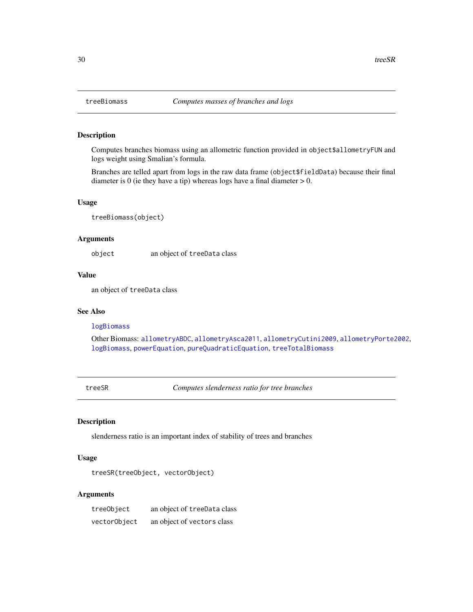Computes branches biomass using an allometric function provided in object\$allometryFUN and logs weight using Smalian's formula.

Branches are telled apart from logs in the raw data frame (object\$fieldData) because their final diameter is 0 (ie they have a tip) whereas logs have a final diameter  $> 0$ .

# Usage

treeBiomass(object)

#### Arguments

object an object of treeData class

#### Value

an object of treeData class

#### See Also

#### [logBiomass](#page-17-1)

Other Biomass: [allometryABDC](#page-3-1), [allometryAsca2011](#page-4-1), [allometryCutini2009](#page-5-1), [allometryPorte2002](#page-6-1), [logBiomass](#page-17-1), [powerEquation](#page-22-1), [pureQuadraticEquation](#page-23-1), [treeTotalBiomass](#page-30-1)

<span id="page-29-2"></span>treeSR *Computes slenderness ratio for tree branches*

# Description

slenderness ratio is an important index of stability of trees and branches

#### Usage

```
treeSR(treeObject, vectorObject)
```
# Arguments

| treeObject   | an object of treeData class |
|--------------|-----------------------------|
| vectorObject | an object of vectors class  |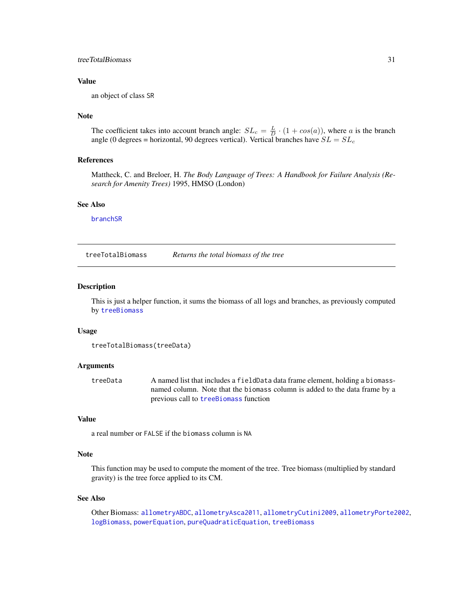# <span id="page-30-0"></span>treeTotalBiomass 31

#### Value

an object of class SR

#### Note

The coefficient takes into account branch angle:  $SL_c = \frac{L}{D} \cdot (1 + cos(a))$ , where a is the branch angle (0 degrees = horizontal, 90 degrees vertical). Vertical branches have  $SL = SL_c$ 

#### References

Mattheck, C. and Breloer, H. *The Body Language of Trees: A Handbook for Failure Analysis (Research for Amenity Trees)* 1995, HMSO (London)

#### See Also

[branchSR](#page-8-2)

<span id="page-30-1"></span>treeTotalBiomass *Returns the total biomass of the tree*

#### Description

This is just a helper function, it sums the biomass of all logs and branches, as previously computed by [treeBiomass](#page-29-1)

#### Usage

```
treeTotalBiomass(treeData)
```
# Arguments

treeData A named list that includes a fieldData data frame element, holding a biomassnamed column. Note that the biomass column is added to the data frame by a previous call to [treeBiomass](#page-29-1) function

#### Value

a real number or FALSE if the biomass column is NA

### Note

This function may be used to compute the moment of the tree. Tree biomass (multiplied by standard gravity) is the tree force applied to its CM.

#### See Also

Other Biomass: [allometryABDC](#page-3-1), [allometryAsca2011](#page-4-1), [allometryCutini2009](#page-5-1), [allometryPorte2002](#page-6-1), [logBiomass](#page-17-1), [powerEquation](#page-22-1), [pureQuadraticEquation](#page-23-1), [treeBiomass](#page-29-1)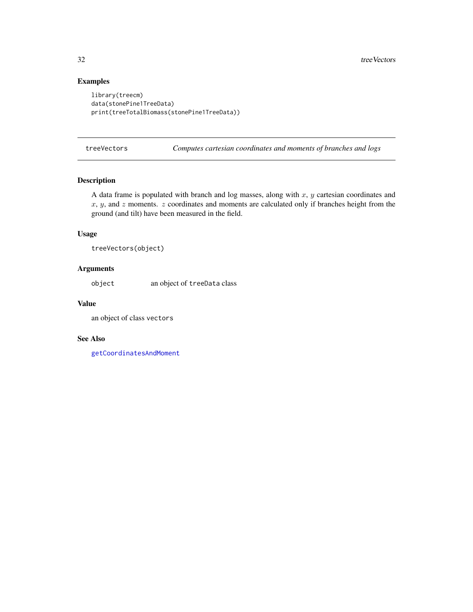# Examples

```
library(treecm)
data(stonePine1TreeData)
print(treeTotalBiomass(stonePine1TreeData))
```
<span id="page-31-1"></span>treeVectors *Computes cartesian coordinates and moments of branches and logs*

# Description

A data frame is populated with branch and log masses, along with  $x$ ,  $y$  cartesian coordinates and  $x, y$ , and  $z$  moments.  $z$  coordinates and moments are calculated only if branches height from the ground (and tilt) have been measured in the field.

# Usage

treeVectors(object)

# Arguments

object an object of treeData class

#### Value

an object of class vectors

#### See Also

[getCoordinatesAndMoment](#page-13-1)

<span id="page-31-0"></span>